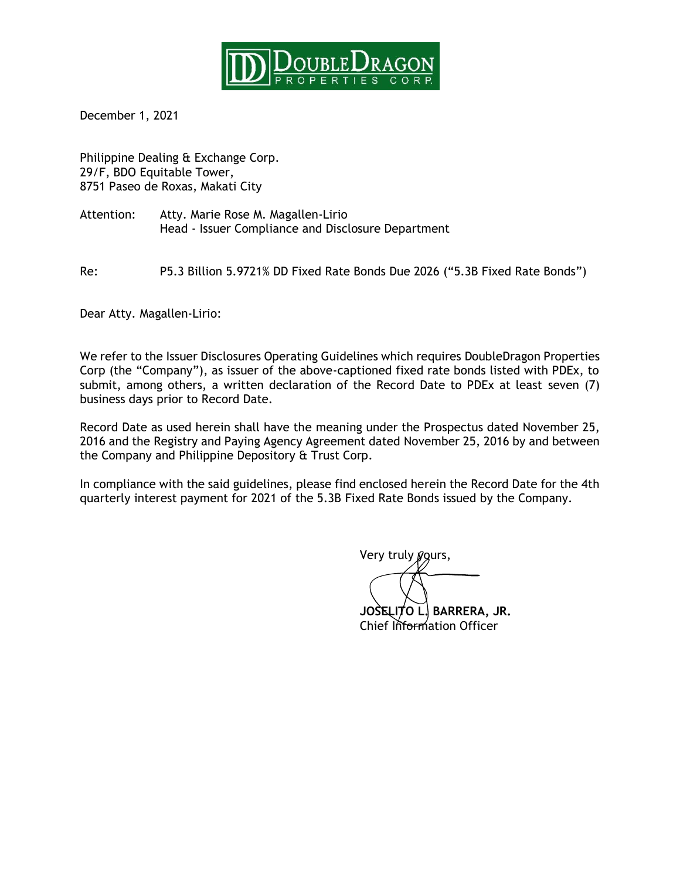

December 1, 2021

Philippine Dealing & Exchange Corp. 29/F, BDO Equitable Tower, 8751 Paseo de Roxas, Makati City

- Attention: Atty. Marie Rose M. Magallen-Lirio Head - Issuer Compliance and Disclosure Department
- Re: P5.3 Billion 5.9721% DD Fixed Rate Bonds Due 2026 ("5.3B Fixed Rate Bonds")

Dear Atty. Magallen-Lirio:

We refer to the Issuer Disclosures Operating Guidelines which requires DoubleDragon Properties Corp (the "Company"), as issuer of the above-captioned fixed rate bonds listed with PDEx, to submit, among others, a written declaration of the Record Date to PDEx at least seven (7) business days prior to Record Date.

Record Date as used herein shall have the meaning under the Prospectus dated November 25, 2016 and the Registry and Paying Agency Agreement dated November 25, 2016 by and between the Company and Philippine Depository & Trust Corp.

In compliance with the said guidelines, please find enclosed herein the Record Date for the 4th quarterly interest payment for 2021 of the 5.3B Fixed Rate Bonds issued by the Company.

Very truly gours, **JOSELITO L. BARRERA, JR.** Chief Information Officer